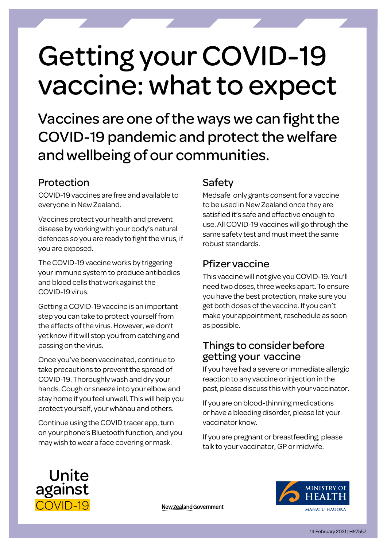# Getting your COVID-19 vaccine: what to expect

Vaccines are one of the ways we can fight the COVID-19 pandemic and protect the welfare and wellbeing of our communities.

#### Protection

COVID-19 vaccines are free and available to everyone in New Zealand.

Vaccines protect your health and prevent disease by working with your body's natural defences so you are ready to fight the virus, if you are exposed.

The COVID-19 vaccine works by triggering your immune system to produce antibodies and blood cells that work against the COVID-19 virus.

Getting a COVID-19 vaccine is an important step you can take to protect yourself from the effects of the virus. However, we don't yet know if it will stop you from catching and passing on the virus.

Once you've been vaccinated, continue to take precautions to prevent the spread of COVID-19. Thoroughly wash and dry your hands. Cough or sneeze into your elbow and stay home if you feel unwell. This will help you protect yourself, your whānau and others.

Continue using the COVID tracer app, turn on your phone's Bluetooth function, and you may wish to wear a face covering or mask.

## Safety

Medsafe only grants consent for a vaccine to be used in New Zealand once they are satisfied it's safe and effective enough to use. All COVID-19 vaccines will go through the same safety test and must meet the same robust standards.

## Pfizer vaccine

This vaccine will not give you COVID-19. You'll need two doses, three weeks apart. To ensure you have the best protection, make sure you get both doses of the vaccine. If you can't make your appointment, reschedule as soon as possible.

### Things to consider before getting your vaccine

If you have had a severe or immediate allergic reaction to any vaccine or injection in the past, please discuss this with your vaccinator.

If you are on blood-thinning medications or have a bleeding disorder, please let your vaccinator know.

If you are pregnant or breastfeeding, please talk to your vaccinator, GP or midwife.



MINISTRY OF MANATŪ HAUORA

New Zealand Government